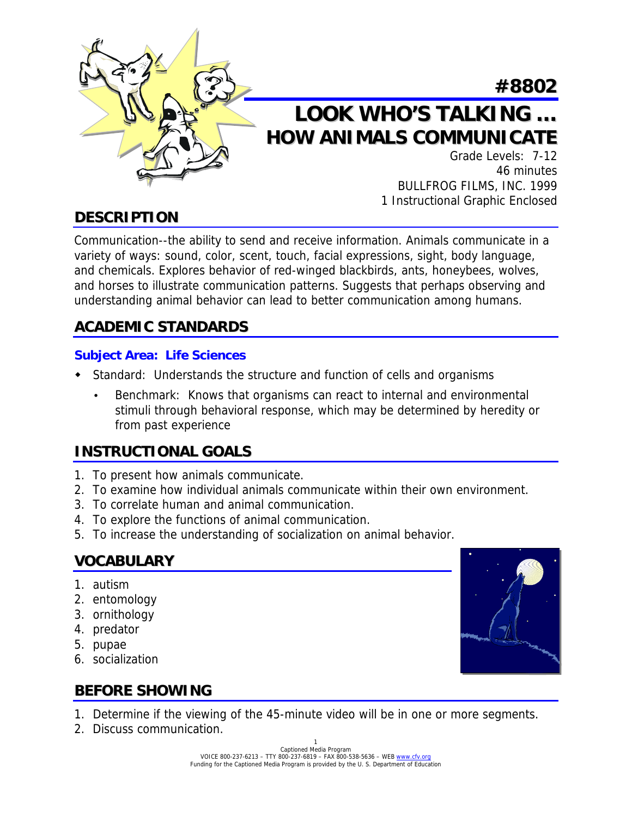

# **LOOK WHO'S TALKING … HOW ANIMALS COMMUNICATE**

Grade Levels: 7-12 46 minutes BULLFROG FILMS, INC. 1999 1 Instructional Graphic Enclosed

**#8802**

# **DESCRIPTION**

Communication--the ability to send and receive information. Animals communicate in a variety of ways: sound, color, scent, touch, facial expressions, sight, body language, and chemicals. Explores behavior of red-winged blackbirds, ants, honeybees, wolves, and horses to illustrate communication patterns. Suggests that perhaps observing and understanding animal behavior can lead to better communication among humans.

### **ACADEMIC STANDARDS**

#### **Subject Area: Life Sciences**

- ! Standard: Understands the structure and function of cells and organisms
	- Benchmark: Knows that organisms can react to internal and environmental stimuli through behavioral response, which may be determined by heredity or from past experience

### **INSTRUCTIONAL GOALS**

- 1. To present how animals communicate.
- 2. To examine how individual animals communicate within their own environment.
- 3. To correlate human and animal communication.
- 4. To explore the functions of animal communication.
- 5. To increase the understanding of socialization on animal behavior.

### **VOCABULARY**

- 1. autism
- 2. entomology
- 3. ornithology
- 4. predator
- 5. pupae
- 6. socialization



# **BEFORE SHOWING**

- 1. Determine if the viewing of the 45-minute video will be in one or more segments.
- 2. Discuss communication.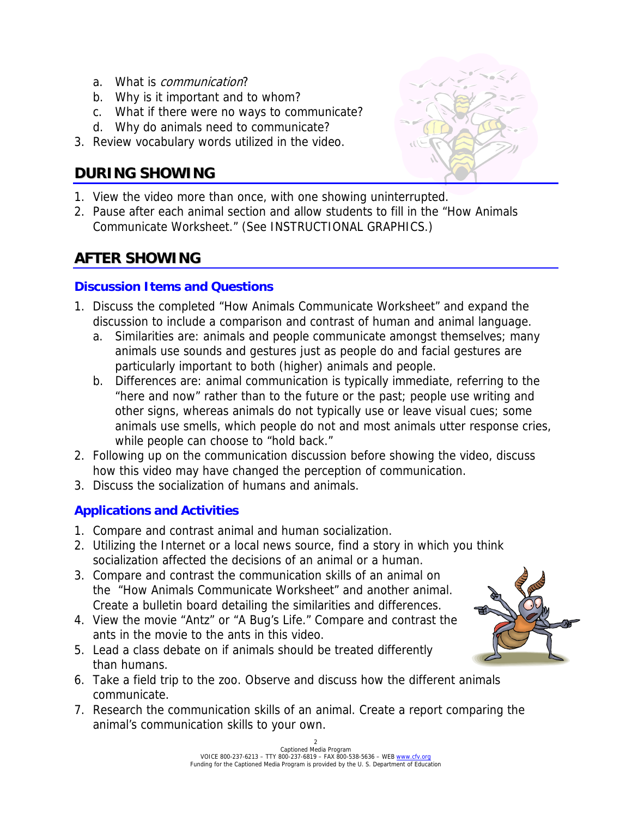- a. What is *communication*?
- b. Why is it important and to whom?
- c. What if there were no ways to communicate?
- d. Why do animals need to communicate?
- 3. Review vocabulary words utilized in the video.

### **DURING SHOWING**

- 1. View the video more than once, with one showing uninterrupted.
- 2. Pause after each animal section and allow students to fill in the "How Animals Communicate Worksheet." (See INSTRUCTIONAL GRAPHICS.)

# **AFTER SHOWING**

### **Discussion Items and Questions**

- 1. Discuss the completed "How Animals Communicate Worksheet" and expand the discussion to include a comparison and contrast of human and animal language.
	- a. Similarities are: animals and people communicate amongst themselves; many animals use sounds and gestures just as people do and facial gestures are particularly important to both (higher) animals and people.
	- b. Differences are: animal communication is typically immediate, referring to the "here and now" rather than to the future or the past; people use writing and other signs, whereas animals do not typically use or leave visual cues; some animals use smells, which people do not and most animals utter response cries, while people can choose to "hold back."
- 2. Following up on the communication discussion before showing the video, discuss how this video may have changed the perception of communication.
- 3. Discuss the socialization of humans and animals.

### **Applications and Activities**

- 1. Compare and contrast animal and human socialization.
- 2. Utilizing the Internet or a local news source, find a story in which you think socialization affected the decisions of an animal or a human.
- 3. Compare and contrast the communication skills of an animal on the "How Animals Communicate Worksheet" and another animal. Create a bulletin board detailing the similarities and differences.
- 4. View the movie "Antz" or "A Bug's Life." Compare and contrast the ants in the movie to the ants in this video.
- 5. Lead a class debate on if animals should be treated differently than humans.
- 6. Take a field trip to the zoo. Observe and discuss how the different animals communicate.
- 7. Research the communication skills of an animal. Create a report comparing the animal's communication skills to your own.





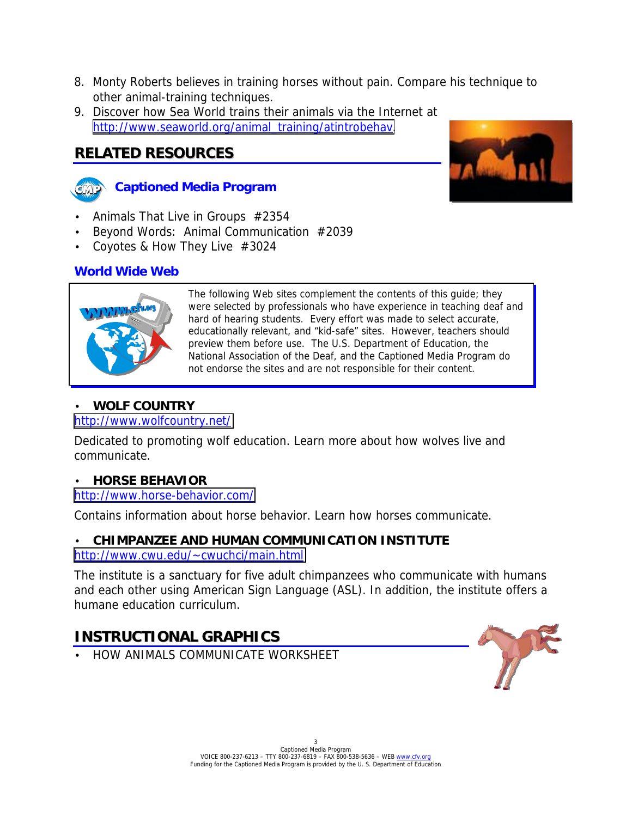- 8. Monty Roberts believes in training horses without pain. Compare his technique to other animal-training techniques.
- 9. Discover how Sea World trains their animals via the Internet at [http://www.seaworld.org/animal\\_training/atintrobehav.](http://www.seaworld.org/animal_training/atintrobehav)

### **RELATED RESOURCES**





- Animals That Live in Groups #2354
- Beyond Words: Animal Communication #2039
- Coyotes & How They Live #3024

#### **World Wide Web**



The following Web sites complement the contents of this guide; they were selected by professionals who have experience in teaching deaf and hard of hearing students. Every effort was made to select accurate, educationally relevant, and "kid-safe" sites. However, teachers should preview them before use. The U.S. Department of Education, the National Association of the Deaf, and the Captioned Media Program do not endorse the sites and are not responsible for their content.

#### • **WOLF COUNTRY**

#### <http://www.wolfcountry.net/>

Dedicated to promoting wolf education. Learn more about how wolves live and communicate.

#### • **HORSE BEHAVIOR**

#### <http://www.horse-behavior.com/>

Contains information about horse behavior. Learn how horses communicate.

# • **CHIMPANZEE AND HUMAN COMMUNICATION INSTITUTE**

#### <http://www.cwu.edu/~cwuchci/main.html>

The institute is a sanctuary for five adult chimpanzees who communicate with humans and each other using American Sign Language (ASL). In addition, the institute offers a humane education curriculum.

# **INSTRUCTIONAL GRAPHICS**

• HOW ANIMALS COMMUNICATE WORKSHEET